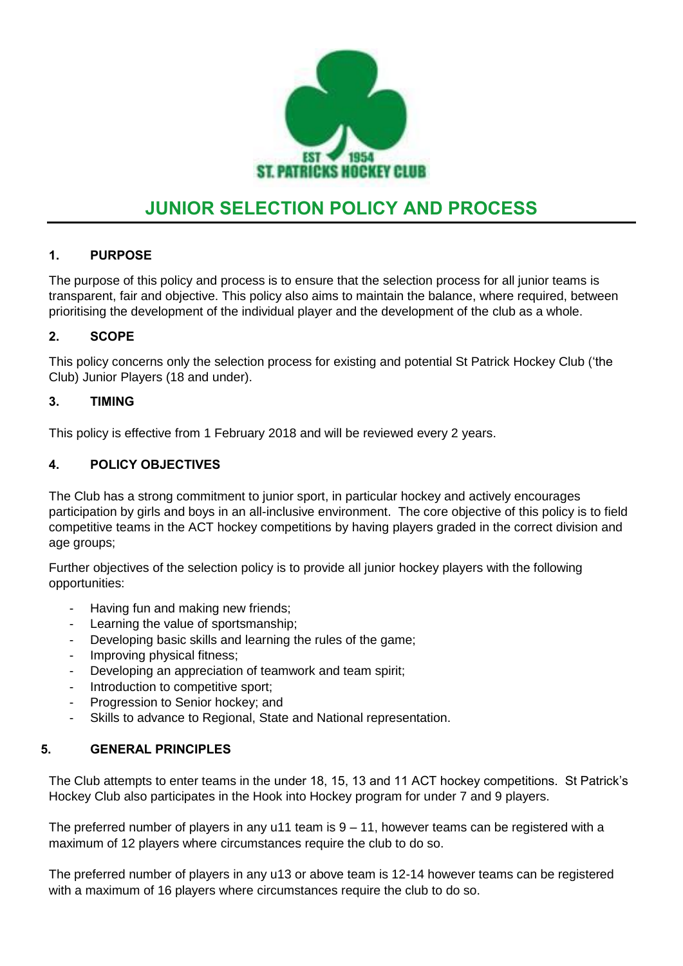

# **JUNIOR SELECTION POLICY AND PROCESS**

# **1. PURPOSE**

The purpose of this policy and process is to ensure that the selection process for all junior teams is transparent, fair and objective. This policy also aims to maintain the balance, where required, between prioritising the development of the individual player and the development of the club as a whole.

### **2. SCOPE**

This policy concerns only the selection process for existing and potential St Patrick Hockey Club ('the Club) Junior Players (18 and under).

### **3. TIMING**

This policy is effective from 1 February 2018 and will be reviewed every 2 years.

# **4. POLICY OBJECTIVES**

The Club has a strong commitment to junior sport, in particular hockey and actively encourages participation by girls and boys in an all-inclusive environment. The core objective of this policy is to field competitive teams in the ACT hockey competitions by having players graded in the correct division and age groups;

Further objectives of the selection policy is to provide all junior hockey players with the following opportunities:

- Having fun and making new friends;
- Learning the value of sportsmanship;
- Developing basic skills and learning the rules of the game;
- Improving physical fitness;
- Developing an appreciation of teamwork and team spirit;
- Introduction to competitive sport:
- Progression to Senior hockey; and
- Skills to advance to Regional, State and National representation.

### **5. GENERAL PRINCIPLES**

The Club attempts to enter teams in the under 18, 15, 13 and 11 ACT hockey competitions. St Patrick's Hockey Club also participates in the Hook into Hockey program for under 7 and 9 players.

The preferred number of players in any u11 team is  $9 - 11$ , however teams can be registered with a maximum of 12 players where circumstances require the club to do so.

The preferred number of players in any u13 or above team is 12-14 however teams can be registered with a maximum of 16 players where circumstances require the club to do so.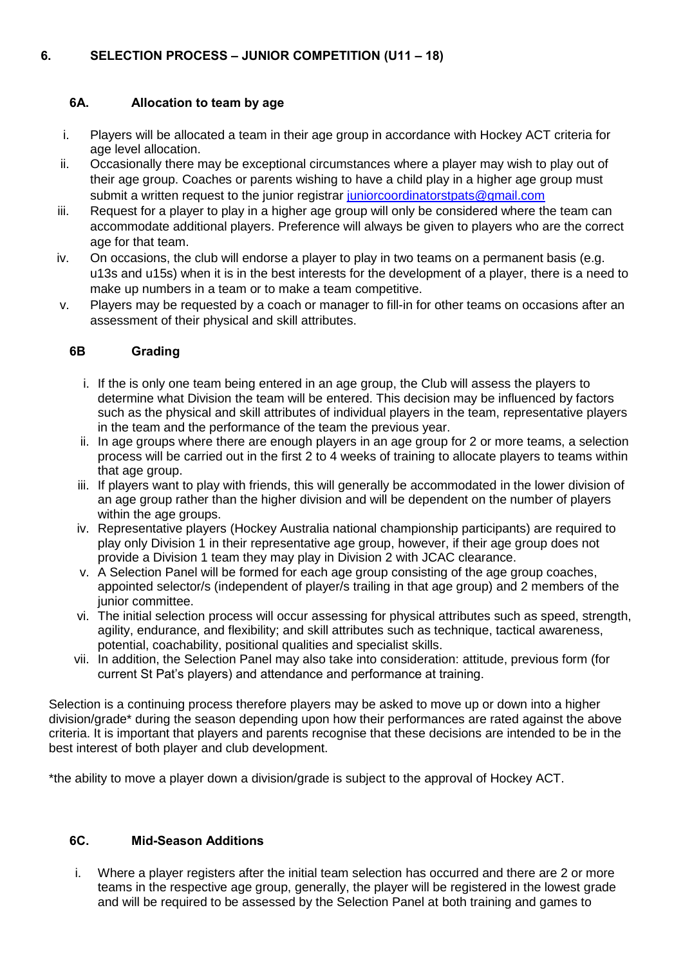## **6A. Allocation to team by age**

- i. Players will be allocated a team in their age group in accordance with Hockey ACT criteria for age level allocation.
- ii. Occasionally there may be exceptional circumstances where a player may wish to play out of their age group. Coaches or parents wishing to have a child play in a higher age group must submit a written request to the junior registrar [juniorcoordinatorstpats@gmail.com](mailto:juniorcoordinatorstpats@gmail.com)
- iii. Request for a player to play in a higher age group will only be considered where the team can accommodate additional players. Preference will always be given to players who are the correct age for that team.
- iv. On occasions, the club will endorse a player to play in two teams on a permanent basis (e.g. u13s and u15s) when it is in the best interests for the development of a player, there is a need to make up numbers in a team or to make a team competitive.
- v. Players may be requested by a coach or manager to fill-in for other teams on occasions after an assessment of their physical and skill attributes.

### **6B Grading**

- i. If the is only one team being entered in an age group, the Club will assess the players to determine what Division the team will be entered. This decision may be influenced by factors such as the physical and skill attributes of individual players in the team, representative players in the team and the performance of the team the previous year.
- ii. In age groups where there are enough players in an age group for 2 or more teams, a selection process will be carried out in the first 2 to 4 weeks of training to allocate players to teams within that age group.
- iii. If players want to play with friends, this will generally be accommodated in the lower division of an age group rather than the higher division and will be dependent on the number of players within the age groups.
- iv. Representative players (Hockey Australia national championship participants) are required to play only Division 1 in their representative age group, however, if their age group does not provide a Division 1 team they may play in Division 2 with JCAC clearance.
- v. A Selection Panel will be formed for each age group consisting of the age group coaches, appointed selector/s (independent of player/s trailing in that age group) and 2 members of the junior committee.
- vi. The initial selection process will occur assessing for physical attributes such as speed, strength, agility, endurance, and flexibility; and skill attributes such as technique, tactical awareness, potential, coachability, positional qualities and specialist skills.
- vii. In addition, the Selection Panel may also take into consideration: attitude, previous form (for current St Pat's players) and attendance and performance at training.

Selection is a continuing process therefore players may be asked to move up or down into a higher division/grade\* during the season depending upon how their performances are rated against the above criteria. It is important that players and parents recognise that these decisions are intended to be in the best interest of both player and club development.

\*the ability to move a player down a division/grade is subject to the approval of Hockey ACT.

#### **6C. Mid-Season Additions**

i. Where a player registers after the initial team selection has occurred and there are 2 or more teams in the respective age group, generally, the player will be registered in the lowest grade and will be required to be assessed by the Selection Panel at both training and games to